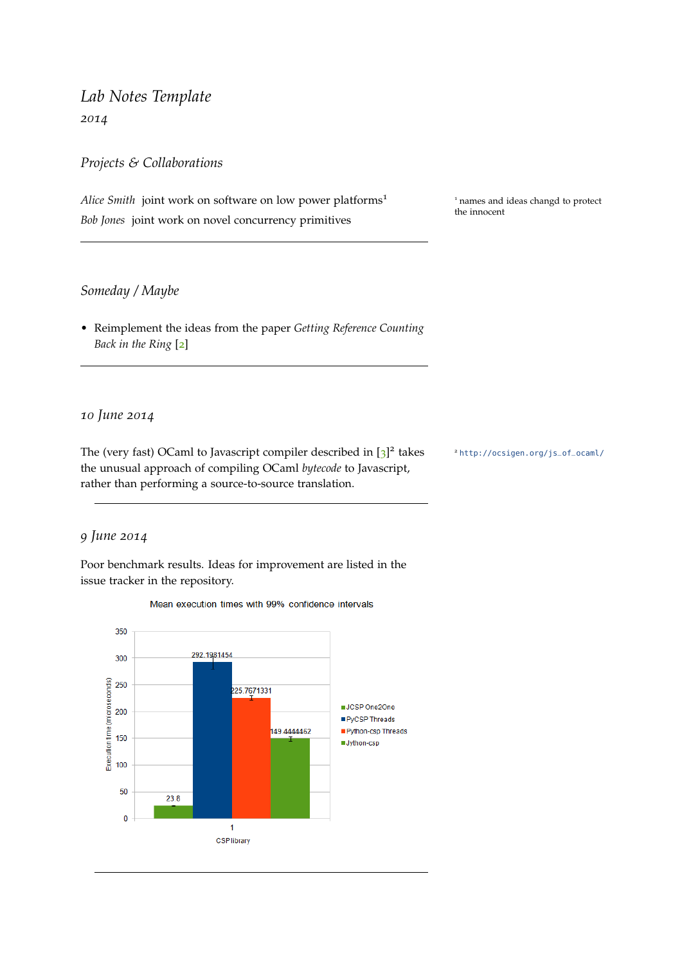# <span id="page-0-0"></span>*Lab Notes Template 2014*

*Projects & Collaborations*

*Alice Smith* joint work on software on low power platforms<sup>1</sup> <sup>1</sup> names and ideas changd to protect *Bob Jones* joint work on novel concurrency primitives

the innocent

### *Someday / Maybe*

• Reimplement the ideas from the paper *Getting Reference Counting Back in the Ring* [[2](#page-3-0)]

### *10 June 2014*

The (very fast) OCaml to Javascript compiler described in [[3](#page-3-1)]<sup>2</sup> the unusual approach of compiling OCaml *bytecode* to Javascript, rather than performing a source-to-source translation.

<sup>2</sup> [http://ocsigen.org/js\\_of\\_ocaml/](http://ocsigen.org/js_of_ocaml/)

#### *9 June 2014*

Poor benchmark results. Ideas for improvement are listed in the issue tracker in the repository.



Mean execution times with 99% confidence intervals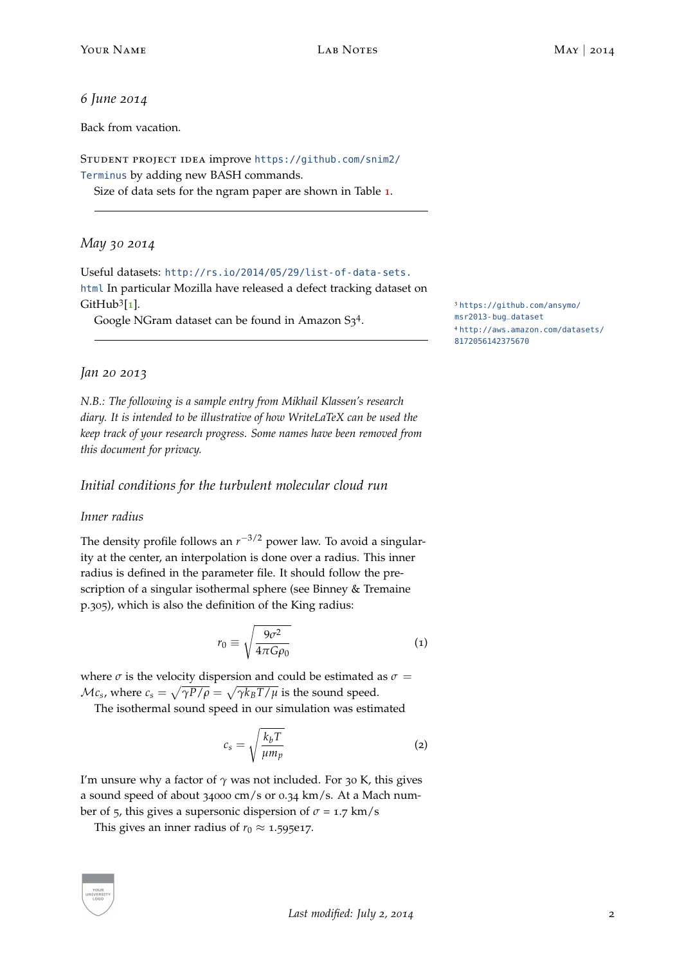#### *6 June 2014*

Back from vacation.

Student project idea improve [https://github.com/snim2/](https://github.com/snim2/Terminus) [Terminus](https://github.com/snim2/Terminus) by adding new BASH commands.

Size of data sets for the ngram paper are shown in Table [1](#page-0-0).

# *May 30 2014*

Useful datasets: [http://rs.io/2014/05/29/list-of-data-sets.](http://rs.io/2014/05/29/list-of-data-sets.html) [html](http://rs.io/2014/05/29/list-of-data-sets.html) In particular Mozilla have released a defect tracking dataset on GitHub $3$ [1].

Google NGram dataset can be found in Amazon S3<sup>4</sup>. The masr2013-bug\_dataset

[[1](#page-3-2)]. <sup>3</sup> [https://github.com/ansymo/](https://github.com/ansymo/msr2013-bug_dataset) <sup>4</sup> [http://aws.amazon.com/datasets/](http://aws.amazon.com/datasets/8172056142375670) [8172056142375670](http://aws.amazon.com/datasets/8172056142375670)

# *Jan 20 2013*

*N.B.: The following is a sample entry from Mikhail Klassen's research diary. It is intended to be illustrative of how WriteLaTeX can be used the keep track of your research progress. Some names have been removed from this document for privacy.*

# *Initial conditions for the turbulent molecular cloud run*

#### *Inner radius*

The density profile follows an  $r^{-3/2}$  power law. To avoid a singularity at the center, an interpolation is done over a radius. This inner radius is defined in the parameter file. It should follow the prescription of a singular isothermal sphere (see Binney & Tremaine p.305), which is also the definition of the King radius:

$$
r_0 \equiv \sqrt{\frac{9\sigma^2}{4\pi G \rho_0}}
$$
 (1)

where  $\sigma$  is the velocity dispersion and could be estimated as  $\sigma =$  $\mathcal{M}$ *c<sub>s</sub>* , where  $c_s = \sqrt{\gamma P/\rho} = \sqrt{\gamma k_B T/\mu}$  is the sound speed.

The isothermal sound speed in our simulation was estimated

$$
c_s = \sqrt{\frac{k_b T}{\mu m_p}}
$$
 (2)

I'm unsure why a factor of  $\gamma$  was not included. For 30 K, this gives a sound speed of about 34000 cm/s or 0.34 km/s. At a Mach number of 5, this gives a supersonic dispersion of  $\sigma$  = 1.7 km/s

This gives an inner radius of  $r_0 \approx 1.595e17$ .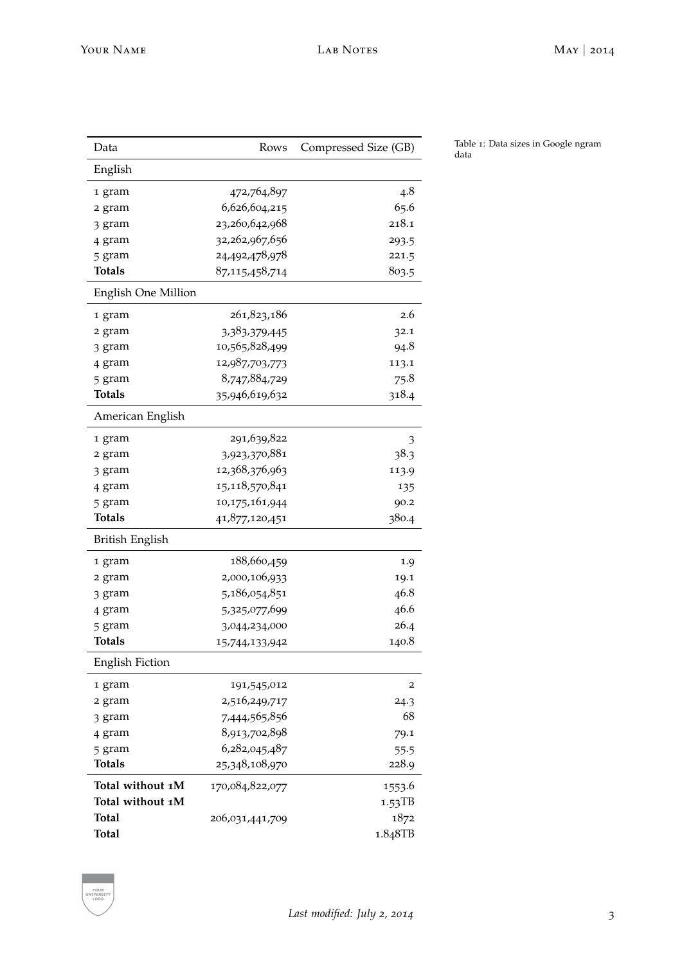| Data                       | Rows            | Compressed Size (GB) |
|----------------------------|-----------------|----------------------|
| English                    |                 |                      |
| 1 gram                     | 472,764,897     | 4.8                  |
| 2 gram                     | 6,626,604,215   | 65.6                 |
| 3 gram                     | 23,260,642,968  | 218.1                |
| 4 gram                     | 32,262,967,656  | 293.5                |
| 5 gram                     | 24,492,478,978  | 221.5                |
| <b>Totals</b>              | 87,115,458,714  | 803.5                |
| <b>English One Million</b> |                 |                      |
| 1 gram                     | 261,823,186     | 2.6                  |
| 2 gram                     | 3,383,379,445   | 32.1                 |
| 3 gram                     | 10,565,828,499  | 94.8                 |
| 4 gram                     | 12,987,703,773  | 113.1                |
| 5 gram                     | 8,747,884,729   | 75.8                 |
| Totals                     | 35,946,619,632  | 318.4                |
| American English           |                 |                      |
| 1 gram                     | 291,639,822     | 3                    |
| 2 gram                     | 3,923,370,881   | 38.3                 |
| 3 gram                     | 12,368,376,963  | 113.9                |
| 4 gram                     | 15,118,570,841  | 135                  |
| 5 gram                     | 10,175,161,944  | 90.2                 |
| <b>Totals</b>              | 41,877,120,451  | 380.4                |
| British English            |                 |                      |
| 1 gram                     | 188,660,459     | 1.9                  |
| 2 gram                     | 2,000,106,933   | 19.1                 |
| 3 gram                     | 5,186,054,851   | 46.8                 |
| 4 gram                     | 5,325,077,699   | 46.6                 |
| 5 gram                     | 3,044,234,000   | 26.4                 |
| <b>Totals</b>              | 15,744,133,942  | 140.8                |
| <b>English Fiction</b>     |                 |                      |
| 1 gram                     | 191,545,012     | 2                    |
| 2 gram                     | 2,516,249,717   | 24.3                 |
| 3 gram                     | 7,444,565,856   | 68                   |
| 4 gram                     | 8,913,702,898   | 79.1                 |
| 5 gram                     | 6,282,045,487   | 55.5                 |
| <b>Totals</b>              | 25,348,108,970  | 228.9                |
| Total without 1M           | 170,084,822,077 | 1553.6               |
| Total without 1M           |                 | 1.53TB               |
| Total                      | 206,031,441,709 | 1872                 |
| <b>Total</b>               |                 | 1.848TB              |

Table 1: Data sizes in Google ngram data